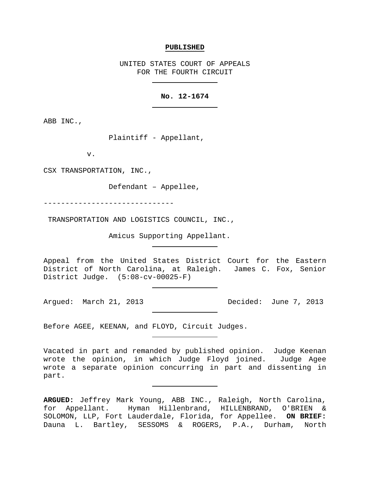### **PUBLISHED**

UNITED STATES COURT OF APPEALS FOR THE FOURTH CIRCUIT

# **No. 12-1674**

ABB INC.,

Plaintiff - Appellant,

v.

CSX TRANSPORTATION, INC.,

Defendant – Appellee,

------------------------------

TRANSPORTATION AND LOGISTICS COUNCIL, INC.,

Amicus Supporting Appellant.

Appeal from the United States District Court for the Eastern District of North Carolina, at Raleigh. James C. Fox, Senior District Judge. (5:08-cv-00025-F)

Argued: March 21, 2013 Decided: June 7, 2013

Before AGEE, KEENAN, and FLOYD, Circuit Judges.

Vacated in part and remanded by published opinion. Judge Keenan wrote the opinion, in which Judge Floyd joined. Judge Agee wrote a separate opinion concurring in part and dissenting in part.

**ARGUED:** Jeffrey Mark Young, ABB INC., Raleigh, North Carolina, for Appellant. Hyman Hillenbrand, HILLENBRAND, O'BRIEN & SOLOMON, LLP, Fort Lauderdale, Florida, for Appellee. **ON BRIEF:** Dauna L. Bartley, SESSOMS & ROGERS, P.A., Durham, North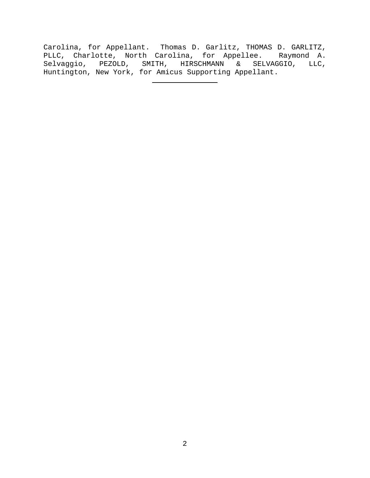Carolina, for Appellant. Thomas D. Garlitz, THOMAS D. GARLITZ, PLLC, Charlotte, North Carolina, for Appellee. Raymond A. Selvaggio, PEZOLD, SMITH, HIRSCHMANN & SELVAGGIO, LLC, Huntington, New York, for Amicus Supporting Appellant.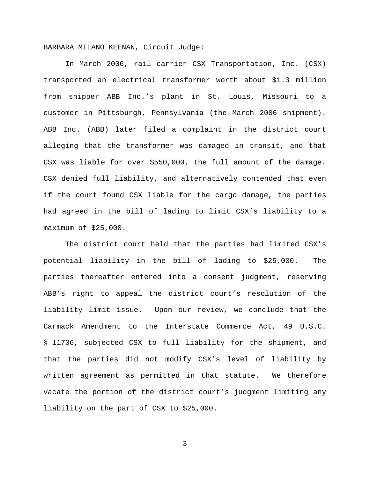BARBARA MILANO KEENAN, Circuit Judge:

In March 2006, rail carrier CSX Transportation, Inc. (CSX) transported an electrical transformer worth about \$1.3 million from shipper ABB Inc.'s plant in St. Louis, Missouri to a customer in Pittsburgh, Pennsylvania (the March 2006 shipment). ABB Inc. (ABB) later filed a complaint in the district court alleging that the transformer was damaged in transit, and that CSX was liable for over \$550,000, the full amount of the damage. CSX denied full liability, and alternatively contended that even if the court found CSX liable for the cargo damage, the parties had agreed in the bill of lading to limit CSX's liability to a maximum of \$25,000.

The district court held that the parties had limited CSX's potential liability in the bill of lading to \$25,000. The parties thereafter entered into a consent judgment, reserving ABB's right to appeal the district court's resolution of the liability limit issue. Upon our review, we conclude that the Carmack Amendment to the Interstate Commerce Act, 49 U.S.C. § 11706, subjected CSX to full liability for the shipment, and that the parties did not modify CSX's level of liability by written agreement as permitted in that statute. We therefore vacate the portion of the district court's judgment limiting any liability on the part of CSX to \$25,000.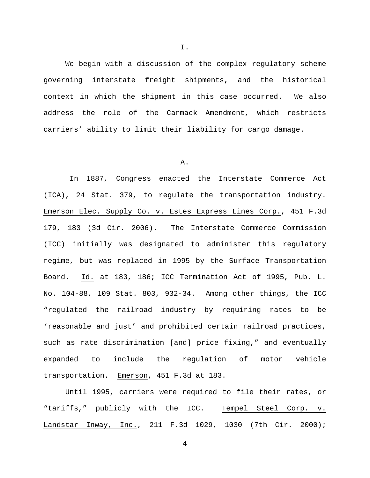We begin with a discussion of the complex regulatory scheme governing interstate freight shipments, and the historical context in which the shipment in this case occurred. We also address the role of the Carmack Amendment, which restricts carriers' ability to limit their liability for cargo damage.

## A.

In 1887, Congress enacted the Interstate Commerce Act (ICA), 24 Stat. 379, to regulate the transportation industry. Emerson Elec. Supply Co. v. Estes Express Lines Corp., 451 F.3d 179, 183 (3d Cir. 2006). The Interstate Commerce Commission (ICC) initially was designated to administer this regulatory regime, but was replaced in 1995 by the Surface Transportation Board. Id. at 183, 186; ICC Termination Act of 1995, Pub. L. No. 104-88, 109 Stat. 803, 932-34. Among other things, the ICC "regulated the railroad industry by requiring rates to be 'reasonable and just' and prohibited certain railroad practices, such as rate discrimination [and] price fixing," and eventually expanded to include the regulation of motor vehicle transportation. Emerson, 451 F.3d at 183.

Until 1995, carriers were required to file their rates, or "tariffs," publicly with the ICC. Tempel Steel Corp. v. Landstar Inway, Inc., 211 F.3d 1029, 1030 (7th Cir. 2000);

4

I.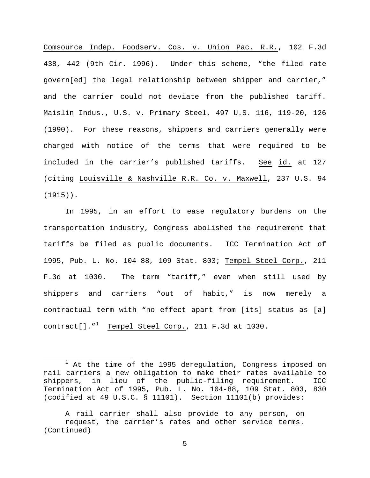Comsource Indep. Foodserv. Cos. v. Union Pac. R.R., 102 F.3d 438, 442 (9th Cir. 1996). Under this scheme, "the filed rate govern[ed] the legal relationship between shipper and carrier," and the carrier could not deviate from the published tariff. Maislin Indus., U.S. v. Primary Steel, 497 U.S. 116, 119-20, 126 (1990). For these reasons, shippers and carriers generally were charged with notice of the terms that were required to be included in the carrier's published tariffs. See id. at 127 (citing Louisville & Nashville R.R. Co. v. Maxwell, 237 U.S. 94 (1915)).

In 1995, in an effort to ease regulatory burdens on the transportation industry, Congress abolished the requirement that tariffs be filed as public documents. ICC Termination Act of 1995, Pub. L. No. 104-88, 109 Stat. 803; Tempel Steel Corp., 211 F.3d at 1030. The term "tariff," even when still used by shippers and carriers "out of habit," is now merely a contractual term with "no effect apart from [its] status as [a] contract[]."<sup>[1](#page-4-0)</sup> <u>Tempel Steel Corp.</u>, 211 F.3d at 1030.

<span id="page-4-0"></span><sup>&</sup>lt;sup>1</sup> At the time of the 1995 deregulation, Congress imposed on rail carriers a new obligation to make their rates available to<br>shippers, in lieu of the public-filing requirement. ICC in lieu of the public-filing requirement. ICC Termination Act of 1995, Pub. L. No. 104-88, 109 Stat. 803, 830 (codified at 49 U.S.C. § 11101). Section 11101(b) provides:

A rail carrier shall also provide to any person, on request, the carrier's rates and other service terms. (Continued)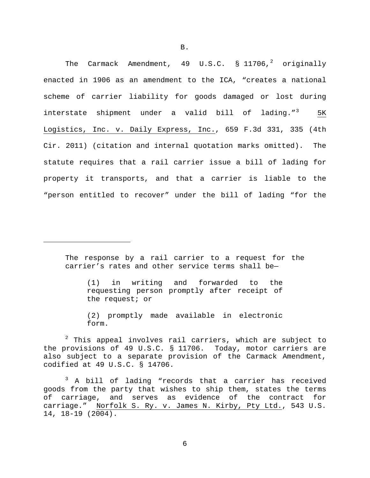The Carmack Amendment, 49 U.S.C.  $\frac{1}{2}$  $\frac{1}{2}$  $\frac{1}{2}$  11706,<sup>2</sup> originally enacted in 1906 as an amendment to the ICA, "creates a national scheme of carrier liability for goods damaged or lost during interstate shipment under a valid bill of lading." $3$  5K Logistics, Inc. v. Daily Express, Inc., 659 F.3d 331, 335 (4th Cir. 2011) (citation and internal quotation marks omitted). The statute requires that a rail carrier issue a bill of lading for property it transports, and that a carrier is liable to the "person entitled to recover" under the bill of lading "for the

The response by a rail carrier to a request for the carrier's rates and other service terms shall be—

Ĩ.

(1) in writing and forwarded to the requesting person promptly after receipt of the request; or

(2) promptly made available in electronic form.

<span id="page-5-0"></span> $2$  This appeal involves rail carriers, which are subject to the provisions of 49 U.S.C. § 11706. Today, motor carriers are also subject to a separate provision of the Carmack Amendment, codified at 49 U.S.C. § 14706.

<span id="page-5-1"></span><sup>3</sup> A bill of lading "records that a carrier has received goods from the party that wishes to ship them, states the terms of carriage, and serves as evidence of the contract for carriage." Norfolk S. Ry. v. James N. Kirby, Pty Ltd., 543 U.S. 14, 18-19 (2004).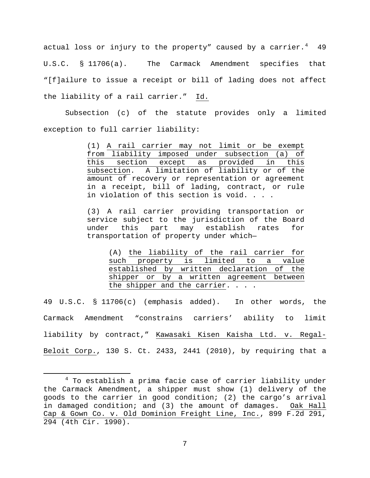actual loss or injury to the property" caused by a carrier. $^4$  $^4$  49 U.S.C. § 11706(a). The Carmack Amendment specifies that "[f]ailure to issue a receipt or bill of lading does not affect the liability of a rail carrier." Id.

Subsection (c) of the statute provides only a limited exception to full carrier liability:

> (1) A rail carrier may not limit or be exempt from liability imposed under subsection (a) of this section except as provided in this subsection. A limitation of liability or of the amount of recovery or representation or agreement in a receipt, bill of lading, contract, or rule in violation of this section is void. . . .

> (3) A rail carrier providing transportation or service subject to the jurisdiction of the Board under this part may establish rates for transportation of property under which—

(A) the liability of the rail carrier for such property is limited to a value established by written declaration of the shipper or by a written agreement between the shipper and the carrier. . . .

49 U.S.C. § 11706(c) (emphasis added). In other words, the Carmack Amendment "constrains carriers' ability to limit liability by contract," Kawasaki Kisen Kaisha Ltd. v. Regal-Beloit Corp., 130 S. Ct. 2433, 2441 (2010), by requiring that a

<span id="page-6-0"></span> $4$  To establish a prima facie case of carrier liability under the Carmack Amendment, a shipper must show (1) delivery of the goods to the carrier in good condition; (2) the cargo's arrival in damaged condition; and (3) the amount of damages. Oak Hall Cap & Gown Co. v. Old Dominion Freight Line, Inc., 899 F.2d 291, 294 (4th Cir. 1990).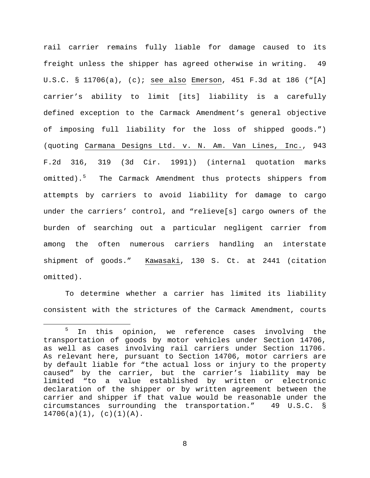rail carrier remains fully liable for damage caused to its freight unless the shipper has agreed otherwise in writing. 49 U.S.C. § 11706(a), (c); see also Emerson, 451 F.3d at 186 ("[A] carrier's ability to limit [its] liability is a carefully defined exception to the Carmack Amendment's general objective of imposing full liability for the loss of shipped goods.") (quoting Carmana Designs Ltd. v. N. Am. Van Lines, Inc., 943 F.2d 316, 319 (3d Cir. 1991)) (internal quotation marks omitted).<sup>[5](#page-7-0)</sup> The Carmack Amendment thus protects shippers from attempts by carriers to avoid liability for damage to cargo under the carriers' control, and "relieve[s] cargo owners of the burden of searching out a particular negligent carrier from among the often numerous carriers handling an interstate shipment of goods." Kawasaki, 130 S. Ct. at 2441 (citation omitted).

To determine whether a carrier has limited its liability consistent with the strictures of the Carmack Amendment, courts

<span id="page-7-0"></span><sup>&</sup>lt;sup>5</sup> In this opinion, we reference cases involving the transportation of goods by motor vehicles under Section 14706, as well as cases involving rail carriers under Section 11706. As relevant here, pursuant to Section 14706, motor carriers are by default liable for "the actual loss or injury to the property caused" by the carrier, but the carrier's liability may be limited "to a value established by written or electronic declaration of the shipper or by written agreement between the carrier and shipper if that value would be reasonable under the circumstances surrounding the transportation." 49 U.S.C. §  $14706(a)(1)$ ,  $(c)(1)(A)$ .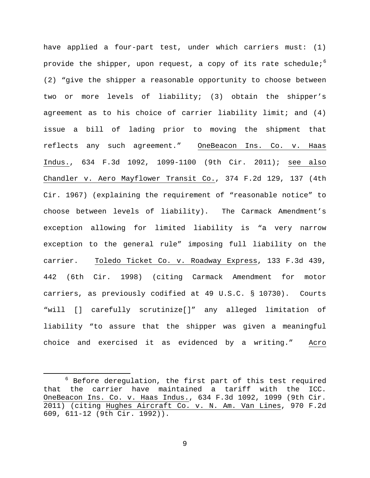have applied a four-part test, under which carriers must: (1) provide the shipper, upon request, a copy of its rate schedule; $^6$  $^6$ (2) "give the shipper a reasonable opportunity to choose between two or more levels of liability; (3) obtain the shipper's agreement as to his choice of carrier liability limit; and  $(4)$ issue a bill of lading prior to moving the shipment that reflects any such agreement." OneBeacon Ins. Co. v. Haas Indus., 634 F.3d 1092, 1099-1100 (9th Cir. 2011); see also Chandler v. Aero Mayflower Transit Co., 374 F.2d 129, 137 (4th Cir. 1967) (explaining the requirement of "reasonable notice" to choose between levels of liability). The Carmack Amendment's exception allowing for limited liability is "a very narrow exception to the general rule" imposing full liability on the carrier. Toledo Ticket Co. v. Roadway Express, 133 F.3d 439, 442 (6th Cir. 1998) (citing Carmack Amendment for motor carriers, as previously codified at 49 U.S.C. § 10730). Courts "will [] carefully scrutinize[]" any alleged limitation of liability "to assure that the shipper was given a meaningful choice and exercised it as evidenced by a writing." Acro

<span id="page-8-0"></span> $6$  Before deregulation, the first part of this test required that the carrier have maintained a tariff with the ICC. OneBeacon Ins. Co. v. Haas Indus., 634 F.3d 1092, 1099 (9th Cir. 2011) (citing Hughes Aircraft Co. v. N. Am. Van Lines, 970 F.2d 609, 611-12 (9th Cir. 1992)).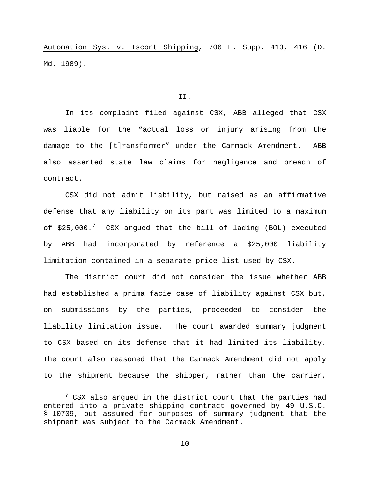Automation Sys. v. Iscont Shipping, 706 F. Supp. 413, 416 (D. Md. 1989).

### II.

In its complaint filed against CSX, ABB alleged that CSX was liable for the "actual loss or injury arising from the damage to the [t]ransformer" under the Carmack Amendment. ABB also asserted state law claims for negligence and breach of contract.

CSX did not admit liability, but raised as an affirmative defense that any liability on its part was limited to a maximum of \$25,000.<sup>[7](#page-9-0)</sup> CSX argued that the bill of lading (BOL) executed by ABB had incorporated by reference a \$25,000 liability limitation contained in a separate price list used by CSX.

The district court did not consider the issue whether ABB had established a prima facie case of liability against CSX but, on submissions by the parties, proceeded to consider the liability limitation issue. The court awarded summary judgment to CSX based on its defense that it had limited its liability. The court also reasoned that the Carmack Amendment did not apply to the shipment because the shipper, rather than the carrier,

<span id="page-9-0"></span> $7$  CSX also argued in the district court that the parties had entered into a private shipping contract governed by 49 U.S.C. § 10709, but assumed for purposes of summary judgment that the shipment was subject to the Carmack Amendment.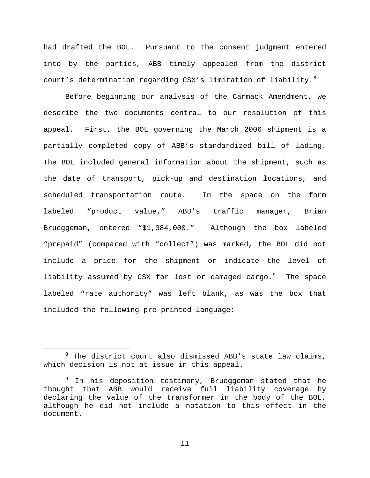had drafted the BOL. Pursuant to the consent judgment entered into by the parties, ABB timely appealed from the district court's determination regarding CSX's limitation of liability. $^8$  $^8$ 

Before beginning our analysis of the Carmack Amendment, we describe the two documents central to our resolution of this appeal. First, the BOL governing the March 2006 shipment is a partially completed copy of ABB's standardized bill of lading. The BOL included general information about the shipment, such as the date of transport, pick-up and destination locations, and scheduled transportation route. In the space on the form labeled "product value," ABB's traffic manager, Brian Brueggeman, entered "\$1,384,000." Although the box labeled "prepaid" (compared with "collect") was marked, the BOL did not include a price for the shipment or indicate the level of liability assumed by CSX for lost or damaged cargo.<sup>[9](#page-10-1)</sup> The space labeled "rate authority" was left blank, as was the box that included the following pre-printed language:

<span id="page-10-0"></span> $8$  The district court also dismissed ABB's state law claims, which decision is not at issue in this appeal.

<span id="page-10-1"></span><sup>&</sup>lt;sup>9</sup> In his deposition testimony, Brueggeman stated that he thought that ABB would receive full liability coverage by declaring the value of the transformer in the body of the BOL, although he did not include a notation to this effect in the document.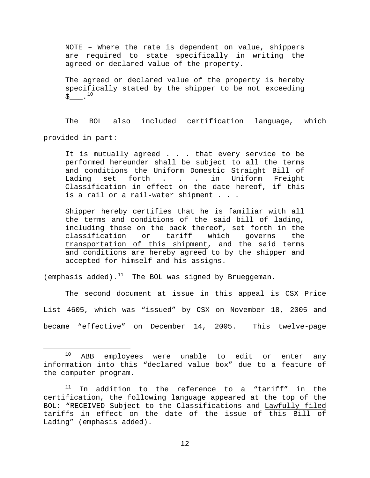NOTE – Where the rate is dependent on value, shippers are required to state specifically in writing the agreed or declared value of the property.

The agreed or declared value of the property is hereby specifically stated by the shipper to be not exceeding  $\zeta$  .  $^{10}$  $^{10}$  $^{10}$ 

The BOL also included certification language, which provided in part:

It is mutually agreed . . . that every service to be performed hereunder shall be subject to all the terms and conditions the Uniform Domestic Straight Bill of<br>Lading set forth . . . in Uniform Freight Lading set forth . . . in Uniform Freight Classification in effect on the date hereof, if this is a rail or a rail-water shipment . . .

Shipper hereby certifies that he is familiar with all the terms and conditions of the said bill of lading, including those on the back thereof, set forth in the classification or tariff which governs the transportation of this shipment, and the said terms and conditions are hereby agreed to by the shipper and accepted for himself and his assigns.

(emphasis added). $^{11}$  $^{11}$  $^{11}$  The BOL was signed by Brueggeman.

The second document at issue in this appeal is CSX Price List 4605, which was "issued" by CSX on November 18, 2005 and became "effective" on December 14, 2005. This twelve-page

<span id="page-11-0"></span> $10$  ABB employees were unable to edit or enter any information into this "declared value box" due to a feature of the computer program.

<span id="page-11-1"></span> $11$  In addition to the reference to a "tariff" in the certification, the following language appeared at the top of the BOL: "RECEIVED Subject to the Classifications and Lawfully filed tariffs in effect on the date of the issue of this Bill of Lading" (emphasis added).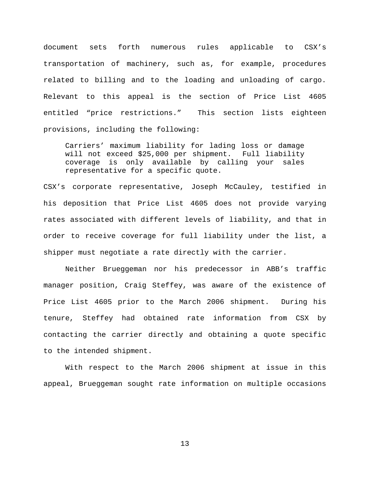document sets forth numerous rules applicable to CSX's transportation of machinery, such as, for example, procedures related to billing and to the loading and unloading of cargo. Relevant to this appeal is the section of Price List 4605 entitled "price restrictions." This section lists eighteen provisions, including the following:

Carriers' maximum liability for lading loss or damage will not exceed \$25,000 per shipment. Full liability coverage is only available by calling your sales representative for a specific quote.

CSX's corporate representative, Joseph McCauley, testified in his deposition that Price List 4605 does not provide varying rates associated with different levels of liability, and that in order to receive coverage for full liability under the list, a shipper must negotiate a rate directly with the carrier.

Neither Brueggeman nor his predecessor in ABB's traffic manager position, Craig Steffey, was aware of the existence of Price List 4605 prior to the March 2006 shipment. During his tenure, Steffey had obtained rate information from CSX by contacting the carrier directly and obtaining a quote specific to the intended shipment.

With respect to the March 2006 shipment at issue in this appeal, Brueggeman sought rate information on multiple occasions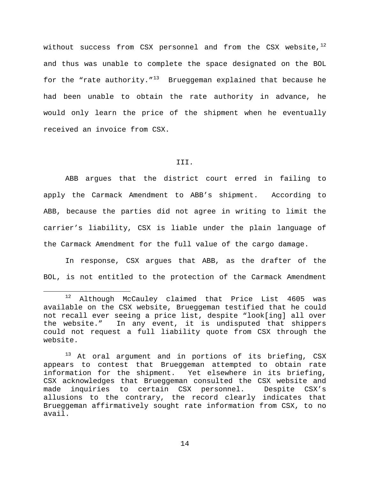without success from CSX personnel and from the CSX website, $^{12}$  $^{12}$  $^{12}$ and thus was unable to complete the space designated on the BOL for the "rate authority."<sup>13</sup> Brueggeman explained that because he had been unable to obtain the rate authority in advance, he would only learn the price of the shipment when he eventually received an invoice from CSX.

## III.

ABB argues that the district court erred in failing to apply the Carmack Amendment to ABB's shipment. According to ABB, because the parties did not agree in writing to limit the carrier's liability, CSX is liable under the plain language of the Carmack Amendment for the full value of the cargo damage.

In response, CSX argues that ABB, as the drafter of the BOL, is not entitled to the protection of the Carmack Amendment

<span id="page-13-0"></span> <sup>12</sup> Although McCauley claimed that Price List 4605 was available on the CSX website, Brueggeman testified that he could not recall ever seeing a price list, despite "look[ing] all over the website." In any event, it is undisputed that shippers could not request a full liability quote from CSX through the website.

<span id="page-13-1"></span><sup>&</sup>lt;sup>13</sup> At oral argument and in portions of its briefing, CSX appears to contest that Brueggeman attempted to obtain rate information for the shipment. Yet elsewhere in its briefing, CSX acknowledges that Brueggeman consulted the CSX website and<br>made inquiries to certain CSX personnel. Despite CSX's certain CSX personnel. allusions to the contrary, the record clearly indicates that Brueggeman affirmatively sought rate information from CSX, to no avail.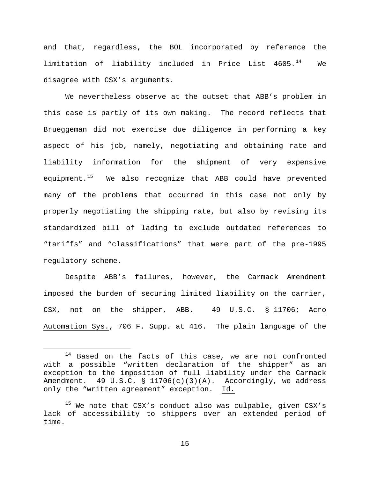and that, regardless, the BOL incorporated by reference the limitation of liability included in Price List  $4605.^{14}$  $4605.^{14}$  $4605.^{14}$  We disagree with CSX's arguments.

We nevertheless observe at the outset that ABB's problem in this case is partly of its own making. The record reflects that Brueggeman did not exercise due diligence in performing a key aspect of his job, namely, negotiating and obtaining rate and liability information for the shipment of very expensive equipment. $15$  We also recognize that ABB could have prevented many of the problems that occurred in this case not only by properly negotiating the shipping rate, but also by revising its standardized bill of lading to exclude outdated references to "tariffs" and "classifications" that were part of the pre-1995 regulatory scheme.

Despite ABB's failures, however, the Carmack Amendment imposed the burden of securing limited liability on the carrier, CSX, not on the shipper, ABB. 49 U.S.C. § 11706; Acro Automation Sys., 706 F. Supp. at 416. The plain language of the

<span id="page-14-0"></span> $14$  Based on the facts of this case, we are not confronted with a possible "written declaration of the shipper" as an exception to the imposition of full liability under the Carmack Amendment. 49 U.S.C. § 11706(c)(3)(A). Accordingly, we address only the "written agreement" exception. Id.

<span id="page-14-1"></span> $15$  We note that CSX's conduct also was culpable, given CSX's lack of accessibility to shippers over an extended period of time.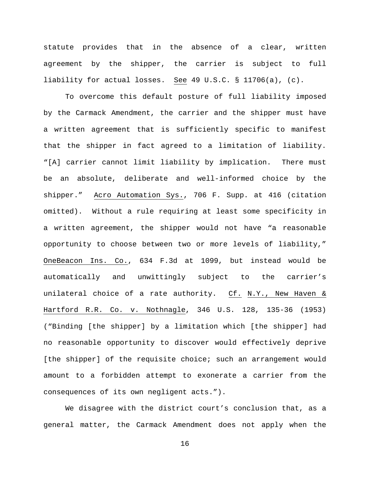statute provides that in the absence of a clear, written agreement by the shipper, the carrier is subject to full liability for actual losses. See 49 U.S.C. § 11706(a), (c).

To overcome this default posture of full liability imposed by the Carmack Amendment, the carrier and the shipper must have a written agreement that is sufficiently specific to manifest that the shipper in fact agreed to a limitation of liability. "[A] carrier cannot limit liability by implication. There must be an absolute, deliberate and well-informed choice by the shipper." Acro Automation Sys., 706 F. Supp. at 416 (citation omitted). Without a rule requiring at least some specificity in a written agreement, the shipper would not have "a reasonable opportunity to choose between two or more levels of liability," OneBeacon Ins. Co., 634 F.3d at 1099, but instead would be automatically and unwittingly subject to the carrier's unilateral choice of a rate authority. Cf. N.Y., New Haven & Hartford R.R. Co. v. Nothnagle, 346 U.S. 128, 135-36 (1953) ("Binding [the shipper] by a limitation which [the shipper] had no reasonable opportunity to discover would effectively deprive [the shipper] of the requisite choice; such an arrangement would amount to a forbidden attempt to exonerate a carrier from the consequences of its own negligent acts.").

We disagree with the district court's conclusion that, as a general matter, the Carmack Amendment does not apply when the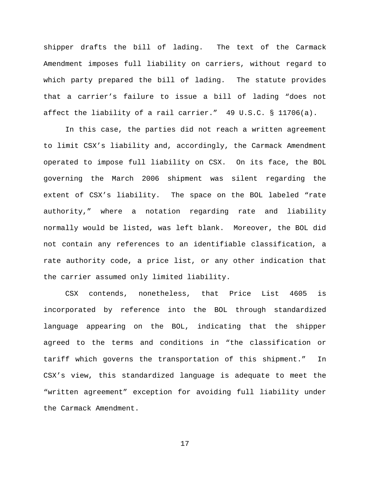shipper drafts the bill of lading. The text of the Carmack Amendment imposes full liability on carriers, without regard to which party prepared the bill of lading. The statute provides that a carrier's failure to issue a bill of lading "does not affect the liability of a rail carrier." 49 U.S.C. § 11706(a).

In this case, the parties did not reach a written agreement to limit CSX's liability and, accordingly, the Carmack Amendment operated to impose full liability on CSX. On its face, the BOL governing the March 2006 shipment was silent regarding the extent of CSX's liability. The space on the BOL labeled "rate authority," where a notation regarding rate and liability normally would be listed, was left blank. Moreover, the BOL did not contain any references to an identifiable classification, a rate authority code, a price list, or any other indication that the carrier assumed only limited liability.

CSX contends, nonetheless, that Price List 4605 is incorporated by reference into the BOL through standardized language appearing on the BOL, indicating that the shipper agreed to the terms and conditions in "the classification or tariff which governs the transportation of this shipment." In CSX's view, this standardized language is adequate to meet the "written agreement" exception for avoiding full liability under the Carmack Amendment.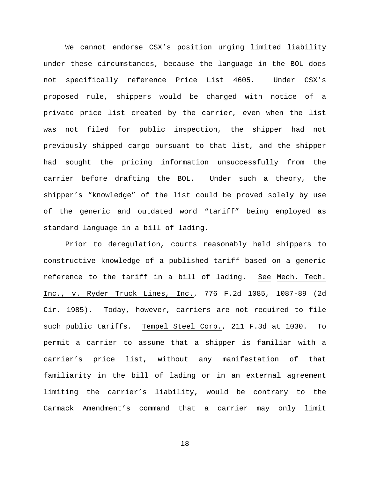We cannot endorse CSX's position urging limited liability under these circumstances, because the language in the BOL does not specifically reference Price List 4605. Under CSX's proposed rule, shippers would be charged with notice of a private price list created by the carrier, even when the list was not filed for public inspection, the shipper had not previously shipped cargo pursuant to that list, and the shipper had sought the pricing information unsuccessfully from the carrier before drafting the BOL. Under such a theory, the shipper's "knowledge" of the list could be proved solely by use of the generic and outdated word "tariff" being employed as standard language in a bill of lading.

Prior to deregulation, courts reasonably held shippers to constructive knowledge of a published tariff based on a generic reference to the tariff in a bill of lading. See Mech. Tech. Inc., v. Ryder Truck Lines, Inc., 776 F.2d 1085, 1087-89 (2d Cir. 1985). Today, however, carriers are not required to file such public tariffs. Tempel Steel Corp., 211 F.3d at 1030. To permit a carrier to assume that a shipper is familiar with a carrier's price list, without any manifestation of that familiarity in the bill of lading or in an external agreement limiting the carrier's liability, would be contrary to the Carmack Amendment's command that a carrier may only limit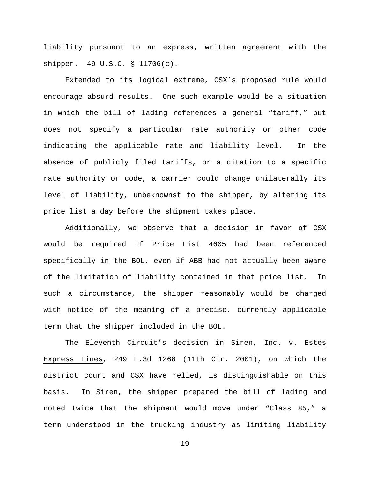liability pursuant to an express, written agreement with the shipper. 49 U.S.C. § 11706(c).

Extended to its logical extreme, CSX's proposed rule would encourage absurd results. One such example would be a situation in which the bill of lading references a general "tariff," but does not specify a particular rate authority or other code indicating the applicable rate and liability level. In the absence of publicly filed tariffs, or a citation to a specific rate authority or code, a carrier could change unilaterally its level of liability, unbeknownst to the shipper, by altering its price list a day before the shipment takes place.

Additionally, we observe that a decision in favor of CSX would be required if Price List 4605 had been referenced specifically in the BOL, even if ABB had not actually been aware of the limitation of liability contained in that price list. In such a circumstance, the shipper reasonably would be charged with notice of the meaning of a precise, currently applicable term that the shipper included in the BOL.

The Eleventh Circuit's decision in Siren, Inc. v. Estes Express Lines, 249 F.3d 1268 (11th Cir. 2001), on which the district court and CSX have relied, is distinguishable on this basis. In Siren, the shipper prepared the bill of lading and noted twice that the shipment would move under "Class 85," a term understood in the trucking industry as limiting liability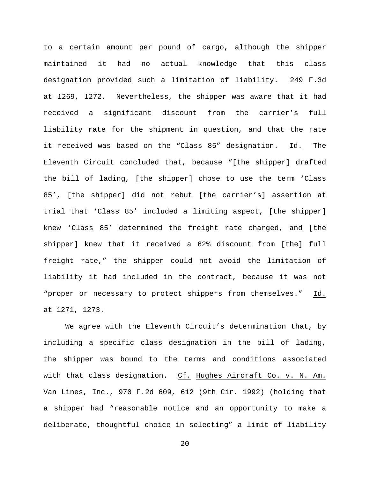to a certain amount per pound of cargo, although the shipper maintained it had no actual knowledge that this class designation provided such a limitation of liability. 249 F.3d at 1269, 1272. Nevertheless, the shipper was aware that it had received a significant discount from the carrier's full liability rate for the shipment in question, and that the rate it received was based on the "Class 85" designation. Id. The Eleventh Circuit concluded that, because "[the shipper] drafted the bill of lading, [the shipper] chose to use the term 'Class 85', [the shipper] did not rebut [the carrier's] assertion at trial that 'Class 85' included a limiting aspect, [the shipper] knew 'Class 85' determined the freight rate charged, and [the shipper] knew that it received a 62% discount from [the] full freight rate," the shipper could not avoid the limitation of liability it had included in the contract, because it was not "proper or necessary to protect shippers from themselves." Id. at 1271, 1273.

We agree with the Eleventh Circuit's determination that, by including a specific class designation in the bill of lading, the shipper was bound to the terms and conditions associated with that class designation. Cf. Hughes Aircraft Co. v. N. Am. Van Lines, Inc., 970 F.2d 609, 612 (9th Cir. 1992) (holding that a shipper had "reasonable notice and an opportunity to make a deliberate, thoughtful choice in selecting" a limit of liability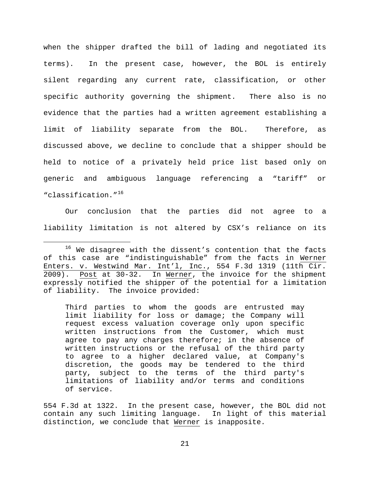when the shipper drafted the bill of lading and negotiated its terms). In the present case, however, the BOL is entirely silent regarding any current rate, classification, or other specific authority governing the shipment. There also is no evidence that the parties had a written agreement establishing a limit of liability separate from the BOL. Therefore, as discussed above, we decline to conclude that a shipper should be held to notice of a privately held price list based only on generic and ambiguous language referencing a "tariff" or "classification."[16](#page-20-0)

Our conclusion that the parties did not agree to a liability limitation is not altered by CSX's reliance on its

Third parties to whom the goods are entrusted may limit liability for loss or damage; the Company will request excess valuation coverage only upon specific written instructions from the Customer, which must agree to pay any charges therefore; in the absence of written instructions or the refusal of the third party to agree to a higher declared value, at Company's discretion, the goods may be tendered to the third party, subject to the terms of the third party's limitations of liability and/or terms and conditions of service.

554 F.3d at 1322. In the present case, however, the BOL did not contain any such limiting language. In light of this material distinction, we conclude that Werner is inapposite.

<span id="page-20-0"></span><sup>&</sup>lt;sup>16</sup> We disagree with the dissent's contention that the facts of this case are "indistinguishable" from the facts in Werner Enters. v. Westwind Mar. Int'l, Inc., 554 F.3d 1319 (11th Cir.<br>2009). Post at 30-32. In Werner, the invoice for the shipment Post at 30-32. In Werner, the invoice for the shipment expressly notified the shipper of the potential for a limitation of liability. The invoice provided: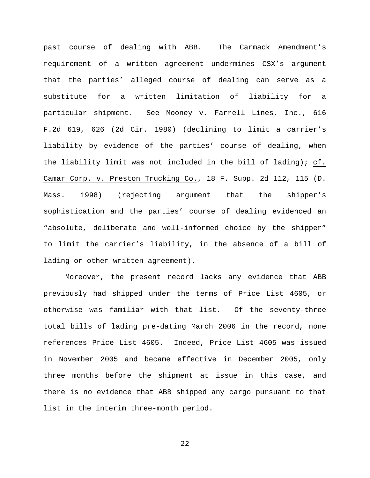past course of dealing with ABB. The Carmack Amendment's requirement of a written agreement undermines CSX's argument that the parties' alleged course of dealing can serve as a substitute for a written limitation of liability for a particular shipment. See Mooney v. Farrell Lines, Inc., 616 F.2d 619, 626 (2d Cir. 1980) (declining to limit a carrier's liability by evidence of the parties' course of dealing, when the liability limit was not included in the bill of lading); cf. Camar Corp. v. Preston Trucking Co., 18 F. Supp. 2d 112, 115 (D. Mass. 1998) (rejecting argument that the shipper's sophistication and the parties' course of dealing evidenced an "absolute, deliberate and well-informed choice by the shipper" to limit the carrier's liability, in the absence of a bill of lading or other written agreement).

Moreover, the present record lacks any evidence that ABB previously had shipped under the terms of Price List 4605, or otherwise was familiar with that list. Of the seventy-three total bills of lading pre-dating March 2006 in the record, none references Price List 4605. Indeed, Price List 4605 was issued in November 2005 and became effective in December 2005, only three months before the shipment at issue in this case, and there is no evidence that ABB shipped any cargo pursuant to that list in the interim three-month period.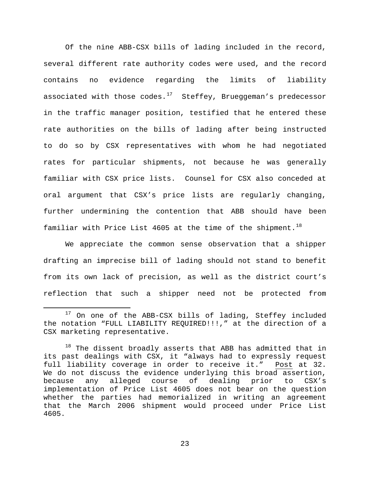Of the nine ABB-CSX bills of lading included in the record, several different rate authority codes were used, and the record contains no evidence regarding the limits of liability associated with those codes. $17$  Steffey, Brueggeman's predecessor in the traffic manager position, testified that he entered these rate authorities on the bills of lading after being instructed to do so by CSX representatives with whom he had negotiated rates for particular shipments, not because he was generally familiar with CSX price lists. Counsel for CSX also conceded at oral argument that CSX's price lists are regularly changing, further undermining the contention that ABB should have been familiar with Price List 4605 at the time of the shipment.<sup>18</sup>

We appreciate the common sense observation that a shipper drafting an imprecise bill of lading should not stand to benefit from its own lack of precision, as well as the district court's reflection that such a shipper need not be protected from

<span id="page-22-0"></span><sup>&</sup>lt;sup>17</sup> On one of the ABB-CSX bills of lading, Steffey included the notation "FULL LIABILITY REQUIRED!!!," at the direction of a CSX marketing representative.

<span id="page-22-1"></span> $18$  The dissent broadly asserts that ABB has admitted that in its past dealings with CSX, it "always had to expressly request full liability coverage in order to receive it." Post at 32. We do not discuss the evidence underlying this broad assertion,<br>because any alleged course of dealing prior to CSX's any alleged course of dealing prior implementation of Price List 4605 does not bear on the question whether the parties had memorialized in writing an agreement that the March 2006 shipment would proceed under Price List 4605.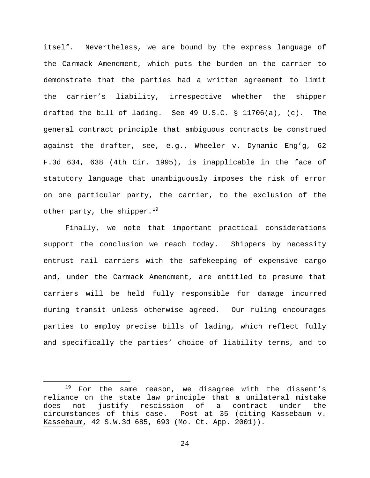itself. Nevertheless, we are bound by the express language of the Carmack Amendment, which puts the burden on the carrier to demonstrate that the parties had a written agreement to limit the carrier's liability, irrespective whether the shipper drafted the bill of lading. See 49 U.S.C. § 11706(a), (c). The general contract principle that ambiguous contracts be construed against the drafter, see, e.g., Wheeler v. Dynamic Eng'g, 62 F.3d 634, 638 (4th Cir. 1995), is inapplicable in the face of statutory language that unambiguously imposes the risk of error on one particular party, the carrier, to the exclusion of the other party, the shipper.<sup>[19](#page-23-0)</sup>

Finally, we note that important practical considerations support the conclusion we reach today. Shippers by necessity entrust rail carriers with the safekeeping of expensive cargo and, under the Carmack Amendment, are entitled to presume that carriers will be held fully responsible for damage incurred during transit unless otherwise agreed. Our ruling encourages parties to employ precise bills of lading, which reflect fully and specifically the parties' choice of liability terms, and to

<span id="page-23-0"></span><sup>&</sup>lt;sup>19</sup> For the same reason, we disagree with the dissent's reliance on the state law principle that a unilateral mistake<br>does not justify rescission of a contract under the does not justify rescission of a contract under the<br>circumstances of this case. Post at 35 (citing Kassebaum v. Post at 35 (citing Kassebaum v. Kassebaum, 42 S.W.3d 685, 693 (Mo. Ct. App. 2001)).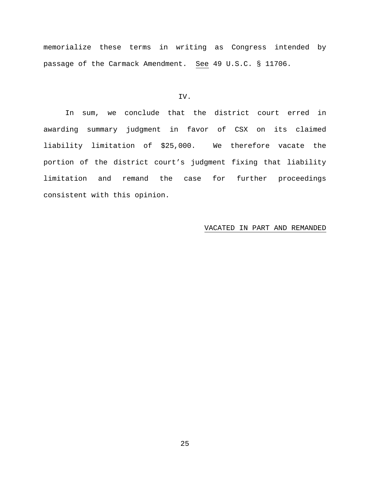memorialize these terms in writing as Congress intended by passage of the Carmack Amendment. See 49 U.S.C. § 11706.

# IV.

In sum, we conclude that the district court erred in awarding summary judgment in favor of CSX on its claimed liability limitation of \$25,000. We therefore vacate the portion of the district court's judgment fixing that liability limitation and remand the case for further proceedings consistent with this opinion.

## VACATED IN PART AND REMANDED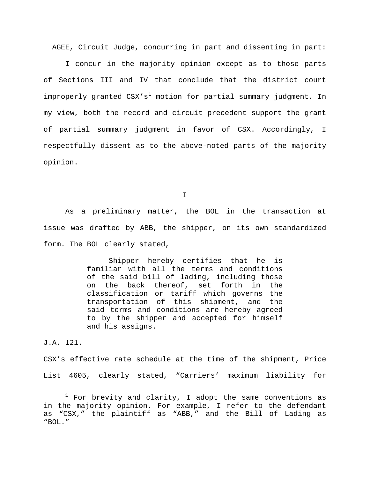AGEE, Circuit Judge, concurring in part and dissenting in part:

I concur in the majority opinion except as to those parts of Sections III and IV that conclude that the district court improperly granted  $CSX's^1$  $CSX's^1$  motion for partial summary judgment. In my view, both the record and circuit precedent support the grant of partial summary judgment in favor of CSX. Accordingly, I respectfully dissent as to the above-noted parts of the majority opinion.

I

As a preliminary matter, the BOL in the transaction at issue was drafted by ABB, the shipper, on its own standardized form. The BOL clearly stated,

> Shipper hereby certifies that he is familiar with all the terms and conditions of the said bill of lading, including those on the back thereof, set forth in the classification or tariff which governs the transportation of this shipment, and the said terms and conditions are hereby agreed to by the shipper and accepted for himself and his assigns.

J.A. 121.

CSX's effective rate schedule at the time of the shipment, Price List 4605, clearly stated, "Carriers' maximum liability for

<span id="page-25-0"></span> $1$  For brevity and clarity, I adopt the same conventions as in the majority opinion. For example, I refer to the defendant as "CSX," the plaintiff as "ABB," and the Bill of Lading as "BOL."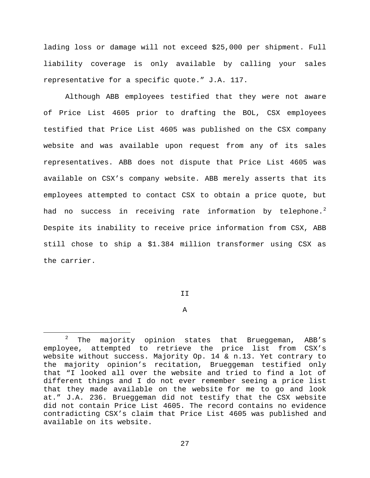lading loss or damage will not exceed \$25,000 per shipment. Full liability coverage is only available by calling your sales representative for a specific quote." J.A. 117.

Although ABB employees testified that they were not aware of Price List 4605 prior to drafting the BOL, CSX employees testified that Price List 4605 was published on the CSX company website and was available upon request from any of its sales representatives. ABB does not dispute that Price List 4605 was available on CSX's company website. ABB merely asserts that its employees attempted to contact CSX to obtain a price quote, but had no success in receiving rate information by telephone.<sup>[2](#page-26-0)</sup> Despite its inability to receive price information from CSX, ABB still chose to ship a \$1.384 million transformer using CSX as the carrier.

T<sub>T</sub>

A

<span id="page-26-0"></span> $2$  The majority opinion states that Brueggeman, ABB's employee, attempted to retrieve the price list from CSX's website without success. Majority Op. 14 & n.13. Yet contrary to the majority opinion's recitation, Brueggeman testified only that "I looked all over the website and tried to find a lot of different things and I do not ever remember seeing a price list that they made available on the website for me to go and look at." J.A. 236. Brueggeman did not testify that the CSX website did not contain Price List 4605. The record contains no evidence contradicting CSX's claim that Price List 4605 was published and available on its website.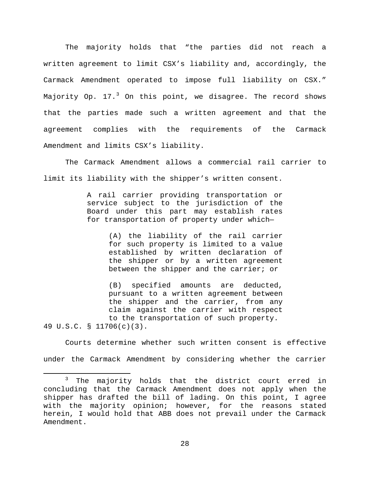The majority holds that "the parties did not reach a written agreement to limit CSX's liability and, accordingly, the Carmack Amendment operated to impose full liability on CSX." Majority Op.  $17.^3$  $17.^3$  On this point, we disagree. The record shows that the parties made such a written agreement and that the agreement complies with the requirements of the Carmack Amendment and limits CSX's liability.

The Carmack Amendment allows a commercial rail carrier to limit its liability with the shipper's written consent.

> A rail carrier providing transportation or service subject to the jurisdiction of the Board under this part may establish rates for transportation of property under which—

> > (A) the liability of the rail carrier for such property is limited to a value established by written declaration of the shipper or by a written agreement between the shipper and the carrier; or

(B) specified amounts are deducted, pursuant to a written agreement between the shipper and the carrier, from any claim against the carrier with respect to the transportation of such property. 49 U.S.C. § 11706(c)(3).

Courts determine whether such written consent is effective under the Carmack Amendment by considering whether the carrier

<span id="page-27-0"></span><sup>&</sup>lt;sup>3</sup> The majority holds that the district court erred in concluding that the Carmack Amendment does not apply when the shipper has drafted the bill of lading. On this point, I agree with the majority opinion; however, for the reasons stated herein, I would hold that ABB does not prevail under the Carmack Amendment.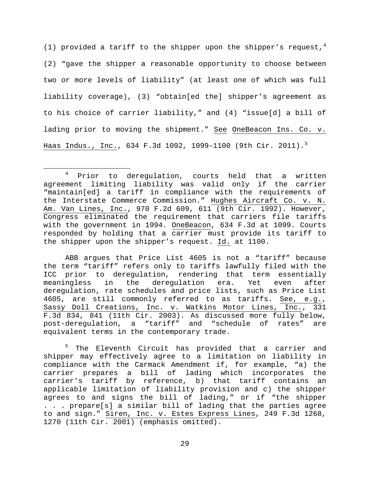(1) provided a tariff to the shipper upon the shipper's request,  $4$ (2) "gave the shipper a reasonable opportunity to choose between two or more levels of liability" (at least one of which was full liability coverage), (3) "obtain[ed the] shipper's agreement as to his choice of carrier liability," and (4) "issue[d] a bill of lading prior to moving the shipment." See OneBeacon Ins. Co. v. Haas Indus., Inc., 634 F.3d 1092, 1099-1100 (9th Cir. 2011).<sup>[5](#page-28-1)</sup>

<span id="page-28-1"></span><sup>5</sup> The Eleventh Circuit has provided that a carrier and shipper may effectively agree to a limitation on liability in compliance with the Carmack Amendment if, for example, "a) the carrier prepares a bill of lading which incorporates the carrier's tariff by reference, b) that tariff contains an applicable limitation of liability provision and c) the shipper agrees to and signs the bill of lading," or if "the shipper . . . prepare[s] a similar bill of lading that the parties agree to and sign." Siren, Inc. v. Estes Express Lines, 249 F.3d 1268, 1270 (11th Cir. 2001) (emphasis omitted).

<span id="page-28-0"></span><sup>&</sup>lt;sup>4</sup> Prior to deregulation, courts held that a written agreement limiting liability was valid only if the carrier "maintain[ed] a tariff in compliance with the requirements of the Interstate Commerce Commission." Hughes Aircraft Co. v. N. Am. Van Lines, Inc., 970 F.2d 609, 611 (9th Cir. 1992). However, Congress eliminated the requirement that carriers file tariffs with the government in 1994. OneBeacon, 634 F.3d at 1099. Courts responded by holding that a carrier must provide its tariff to the shipper upon the shipper's request. Id. at 1100.

ABB argues that Price List 4605 is not a "tariff" because the term "tariff" refers only to tariffs lawfully filed with the ICC prior to deregulation, rendering that term essentially<br>meaningless in the deregulation era. Yet even after deregulation era. Yet even after deregulation, rate schedules and price lists, such as Price List 4605, are still commonly referred to as tariffs. See, e.g., Sassy Doll Creations, Inc. v. Watkins Motor Lines, Inc., 331 F.3d 834, 841 (11th Cir. 2003). As discussed more fully below, post-deregulation, a "tariff" and "schedule of rates" are equivalent terms in the contemporary trade.

<sup>29</sup>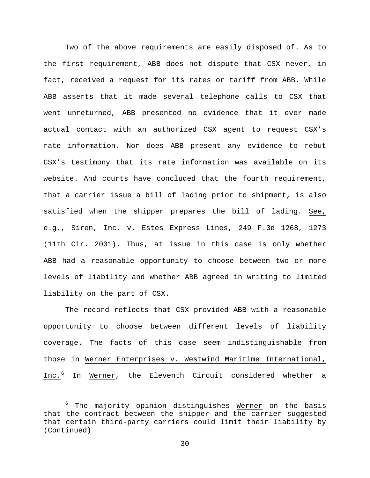Two of the above requirements are easily disposed of. As to the first requirement, ABB does not dispute that CSX never, in fact, received a request for its rates or tariff from ABB. While ABB asserts that it made several telephone calls to CSX that went unreturned, ABB presented no evidence that it ever made actual contact with an authorized CSX agent to request CSX's rate information. Nor does ABB present any evidence to rebut CSX's testimony that its rate information was available on its website. And courts have concluded that the fourth requirement, that a carrier issue a bill of lading prior to shipment, is also satisfied when the shipper prepares the bill of lading. See, e.g., Siren, Inc. v. Estes Express Lines, 249 F.3d 1268, 1273 (11th Cir. 2001). Thus, at issue in this case is only whether ABB had a reasonable opportunity to choose between two or more levels of liability and whether ABB agreed in writing to limited liability on the part of CSX.

The record reflects that CSX provided ABB with a reasonable opportunity to choose between different levels of liability coverage. The facts of this case seem indistinguishable from those in Werner Enterprises v. Westwind Maritime International, Inc.<sup>[6](#page-29-0)</sup> In Werner, the Eleventh Circuit considered whether a

<span id="page-29-0"></span> $6$  The majority opinion distinguishes Werner on the basis that the contract between the shipper and the carrier suggested that certain third-party carriers could limit their liability by (Continued)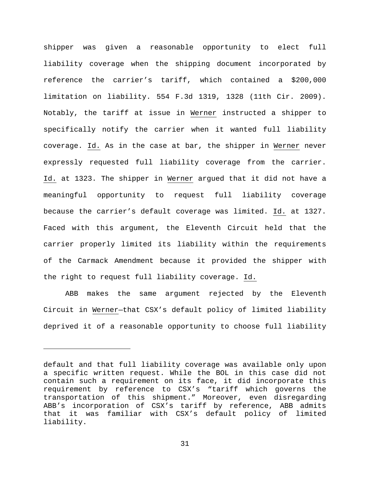shipper was given a reasonable opportunity to elect full liability coverage when the shipping document incorporated by reference the carrier's tariff, which contained a \$200,000 limitation on liability. 554 F.3d 1319, 1328 (11th Cir. 2009). Notably, the tariff at issue in Werner instructed a shipper to specifically notify the carrier when it wanted full liability coverage. Id. As in the case at bar, the shipper in Werner never expressly requested full liability coverage from the carrier. Id. at 1323. The shipper in Werner argued that it did not have a meaningful opportunity to request full liability coverage because the carrier's default coverage was limited. Id. at 1327. Faced with this argument, the Eleventh Circuit held that the carrier properly limited its liability within the requirements of the Carmack Amendment because it provided the shipper with the right to request full liability coverage. Id.

ABB makes the same argument rejected by the Eleventh Circuit in Werner—that CSX's default policy of limited liability deprived it of a reasonable opportunity to choose full liability

Ĩ.

default and that full liability coverage was available only upon a specific written request. While the BOL in this case did not contain such a requirement on its face, it did incorporate this requirement by reference to CSX's "tariff which governs the transportation of this shipment." Moreover, even disregarding ABB's incorporation of CSX's tariff by reference, ABB admits that it was familiar with CSX's default policy of limited liability.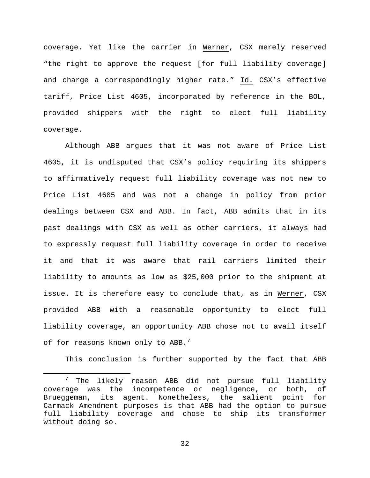coverage. Yet like the carrier in Werner, CSX merely reserved "the right to approve the request [for full liability coverage] and charge a correspondingly higher rate." Id. CSX's effective tariff, Price List 4605, incorporated by reference in the BOL, provided shippers with the right to elect full liability coverage.

Although ABB argues that it was not aware of Price List 4605, it is undisputed that CSX's policy requiring its shippers to affirmatively request full liability coverage was not new to Price List 4605 and was not a change in policy from prior dealings between CSX and ABB. In fact, ABB admits that in its past dealings with CSX as well as other carriers, it always had to expressly request full liability coverage in order to receive it and that it was aware that rail carriers limited their liability to amounts as low as \$25,000 prior to the shipment at issue. It is therefore easy to conclude that, as in Werner, CSX provided ABB with a reasonable opportunity to elect full liability coverage, an opportunity ABB chose not to avail itself of for reasons known only to ABB. $^7$  $^7$ 

This conclusion is further supported by the fact that ABB

<span id="page-31-0"></span> <sup>7</sup> The likely reason ABB did not pursue full liability coverage was the incompetence or negligence, or both, of Brueggeman, its agent. Nonetheless, the salient point for Carmack Amendment purposes is that ABB had the option to pursue full liability coverage and chose to ship its transformer without doing so.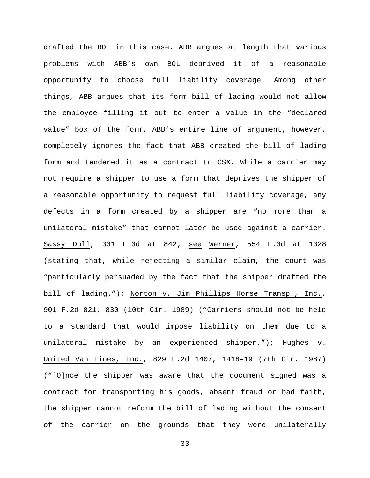drafted the BOL in this case. ABB argues at length that various problems with ABB's own BOL deprived it of a reasonable opportunity to choose full liability coverage. Among other things, ABB argues that its form bill of lading would not allow the employee filling it out to enter a value in the "declared value" box of the form. ABB's entire line of argument, however, completely ignores the fact that ABB created the bill of lading form and tendered it as a contract to CSX. While a carrier may not require a shipper to use a form that deprives the shipper of a reasonable opportunity to request full liability coverage, any defects in a form created by a shipper are "no more than a unilateral mistake" that cannot later be used against a carrier. Sassy Doll, 331 F.3d at 842; see Werner, 554 F.3d at 1328 (stating that, while rejecting a similar claim, the court was "particularly persuaded by the fact that the shipper drafted the bill of lading."); Norton v. Jim Phillips Horse Transp., Inc., 901 F.2d 821, 830 (10th Cir. 1989) ("Carriers should not be held to a standard that would impose liability on them due to a unilateral mistake by an experienced shipper."); Hughes v. United Van Lines, Inc., 829 F.2d 1407, 1418–19 (7th Cir. 1987) ("[O]nce the shipper was aware that the document signed was a contract for transporting his goods, absent fraud or bad faith, the shipper cannot reform the bill of lading without the consent of the carrier on the grounds that they were unilaterally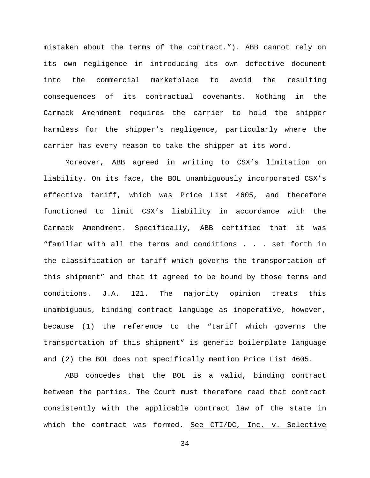mistaken about the terms of the contract."). ABB cannot rely on its own negligence in introducing its own defective document into the commercial marketplace to avoid the resulting consequences of its contractual covenants. Nothing in the Carmack Amendment requires the carrier to hold the shipper harmless for the shipper's negligence, particularly where the carrier has every reason to take the shipper at its word.

Moreover, ABB agreed in writing to CSX's limitation on liability. On its face, the BOL unambiguously incorporated CSX's effective tariff, which was Price List 4605, and therefore functioned to limit CSX's liability in accordance with the Carmack Amendment. Specifically, ABB certified that it was "familiar with all the terms and conditions . . . set forth in the classification or tariff which governs the transportation of this shipment" and that it agreed to be bound by those terms and conditions. J.A. 121. The majority opinion treats this unambiguous, binding contract language as inoperative, however, because (1) the reference to the "tariff which governs the transportation of this shipment" is generic boilerplate language and (2) the BOL does not specifically mention Price List 4605.

ABB concedes that the BOL is a valid, binding contract between the parties. The Court must therefore read that contract consistently with the applicable contract law of the state in which the contract was formed. See CTI/DC, Inc. v. Selective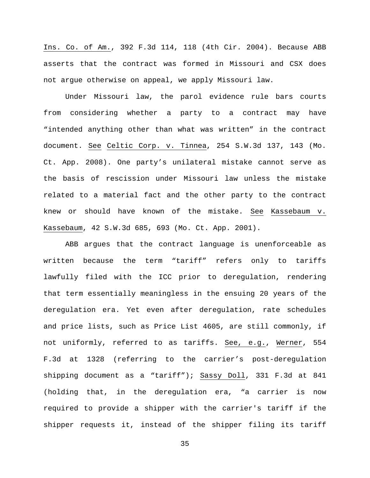Ins. Co. of Am., 392 F.3d 114, 118 (4th Cir. 2004). Because ABB asserts that the contract was formed in Missouri and CSX does not argue otherwise on appeal, we apply Missouri law.

Under Missouri law, the parol evidence rule bars courts from considering whether a party to a contract may have "intended anything other than what was written" in the contract document. See Celtic Corp. v. Tinnea, 254 S.W.3d 137, 143 (Mo. Ct. App. 2008). One party's unilateral mistake cannot serve as the basis of rescission under Missouri law unless the mistake related to a material fact and the other party to the contract knew or should have known of the mistake. See Kassebaum v. Kassebaum, 42 S.W.3d 685, 693 (Mo. Ct. App. 2001).

ABB argues that the contract language is unenforceable as written because the term "tariff" refers only to tariffs lawfully filed with the ICC prior to deregulation, rendering that term essentially meaningless in the ensuing 20 years of the deregulation era. Yet even after deregulation, rate schedules and price lists, such as Price List 4605, are still commonly, if not uniformly, referred to as tariffs. See, e.g., Werner, 554 F.3d at 1328 (referring to the carrier's post-deregulation shipping document as a "tariff"); Sassy Doll, 331 F.3d at 841 (holding that, in the deregulation era, "a carrier is now required to provide a shipper with the carrier's tariff if the shipper requests it, instead of the shipper filing its tariff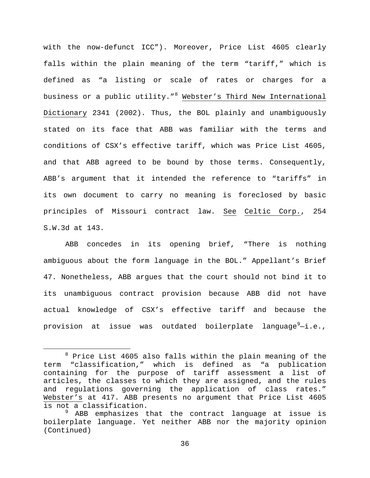with the now-defunct ICC"). Moreover, Price List 4605 clearly falls within the plain meaning of the term "tariff," which is defined as "a listing or scale of rates or charges for a business or a public utility."<sup>[8](#page-35-0)</sup> Webster's Third New International Dictionary 2341 (2002). Thus, the BOL plainly and unambiguously stated on its face that ABB was familiar with the terms and conditions of CSX's effective tariff, which was Price List 4605, and that ABB agreed to be bound by those terms. Consequently, ABB's argument that it intended the reference to "tariffs" in its own document to carry no meaning is foreclosed by basic principles of Missouri contract law. See Celtic Corp., 254 S.W.3d at 143.

ABB concedes in its opening brief, "There is nothing ambiguous about the form language in the BOL." Appellant's Brief 47. Nonetheless, ABB argues that the court should not bind it to its unambiguous contract provision because ABB did not have actual knowledge of CSX's effective tariff and because the provision at issue was outdated boilerplate language $^9\!-\!i.\,$  $^9\!-\!i.\,$  $^9\!-\!i.\,$ e.,

<span id="page-35-0"></span> $8$  Price List 4605 also falls within the plain meaning of the term "classification," which is defined as "a publication containing for the purpose of tariff assessment a list of articles, the classes to which they are assigned, and the rules and regulations governing the application of class rates." Webster's at 417. ABB presents no argument that Price List 4605 is not a classification.

<span id="page-35-1"></span><sup>&</sup>lt;sup>9</sup> ABB emphasizes that the contract language at issue is boilerplate language. Yet neither ABB nor the majority opinion (Continued)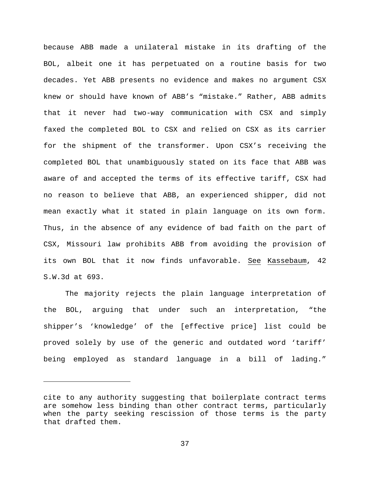because ABB made a unilateral mistake in its drafting of the BOL, albeit one it has perpetuated on a routine basis for two decades. Yet ABB presents no evidence and makes no argument CSX knew or should have known of ABB's "mistake." Rather, ABB admits that it never had two-way communication with CSX and simply faxed the completed BOL to CSX and relied on CSX as its carrier for the shipment of the transformer. Upon CSX's receiving the completed BOL that unambiguously stated on its face that ABB was aware of and accepted the terms of its effective tariff, CSX had no reason to believe that ABB, an experienced shipper, did not mean exactly what it stated in plain language on its own form. Thus, in the absence of any evidence of bad faith on the part of CSX, Missouri law prohibits ABB from avoiding the provision of its own BOL that it now finds unfavorable. See Kassebaum, 42 S.W.3d at 693.

The majority rejects the plain language interpretation of the BOL, arguing that under such an interpretation, "the shipper's 'knowledge' of the [effective price] list could be proved solely by use of the generic and outdated word 'tariff' being employed as standard language in a bill of lading."

Ĩ.

cite to any authority suggesting that boilerplate contract terms are somehow less binding than other contract terms, particularly when the party seeking rescission of those terms is the party that drafted them.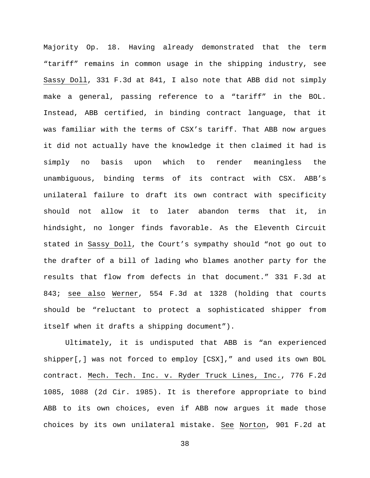Majority Op. 18. Having already demonstrated that the term "tariff" remains in common usage in the shipping industry, see Sassy Doll, 331 F.3d at 841, I also note that ABB did not simply make a general, passing reference to a "tariff" in the BOL. Instead, ABB certified, in binding contract language, that it was familiar with the terms of CSX's tariff. That ABB now argues it did not actually have the knowledge it then claimed it had is simply no basis upon which to render meaningless the unambiguous, binding terms of its contract with CSX. ABB's unilateral failure to draft its own contract with specificity should not allow it to later abandon terms that it, in hindsight, no longer finds favorable. As the Eleventh Circuit stated in Sassy Doll, the Court's sympathy should "not go out to the drafter of a bill of lading who blames another party for the results that flow from defects in that document." 331 F.3d at 843; see also Werner, 554 F.3d at 1328 (holding that courts should be "reluctant to protect a sophisticated shipper from itself when it drafts a shipping document").

Ultimately, it is undisputed that ABB is "an experienced shipper[,] was not forced to employ [CSX]," and used its own BOL contract. Mech. Tech. Inc. v. Ryder Truck Lines, Inc., 776 F.2d 1085, 1088 (2d Cir. 1985). It is therefore appropriate to bind ABB to its own choices, even if ABB now argues it made those choices by its own unilateral mistake. See Norton, 901 F.2d at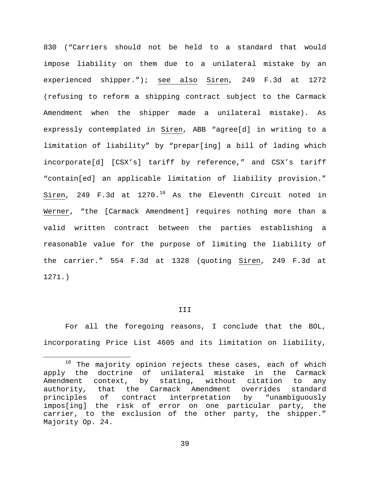830 ("Carriers should not be held to a standard that would impose liability on them due to a unilateral mistake by an experienced shipper."); see also Siren, 249 F.3d at 1272 (refusing to reform a shipping contract subject to the Carmack Amendment when the shipper made a unilateral mistake). As expressly contemplated in Siren, ABB "agree[d] in writing to a limitation of liability" by "prepar[ing] a bill of lading which incorporate[d] [CSX's] tariff by reference," and CSX's tariff "contain[ed] an applicable limitation of liability provision." Siren, 249 F.3d at  $1270.^{10}$  $1270.^{10}$  $1270.^{10}$  As the Eleventh Circuit noted in Werner, "the [Carmack Amendment] requires nothing more than a valid written contract between the parties establishing a reasonable value for the purpose of limiting the liability of the carrier." 554 F.3d at 1328 (quoting Siren, 249 F.3d at 1271.)

#### III

For all the foregoing reasons, I conclude that the BOL, incorporating Price List 4605 and its limitation on liability,

<span id="page-38-0"></span> $10$  The majority opinion rejects these cases, each of which apply the doctrine of unilateral mistake in the Carmack Amendment context, by stating, without citation to any<br>authority, that the Carmack Amendment overrides standard authority, that the Carmack Amendment overrides<br>principles of contract interpretation by "unam interpretation by "unambiguously impos[ing] the risk of error on one particular party, the carrier, to the exclusion of the other party, the shipper." Majority Op. 24.